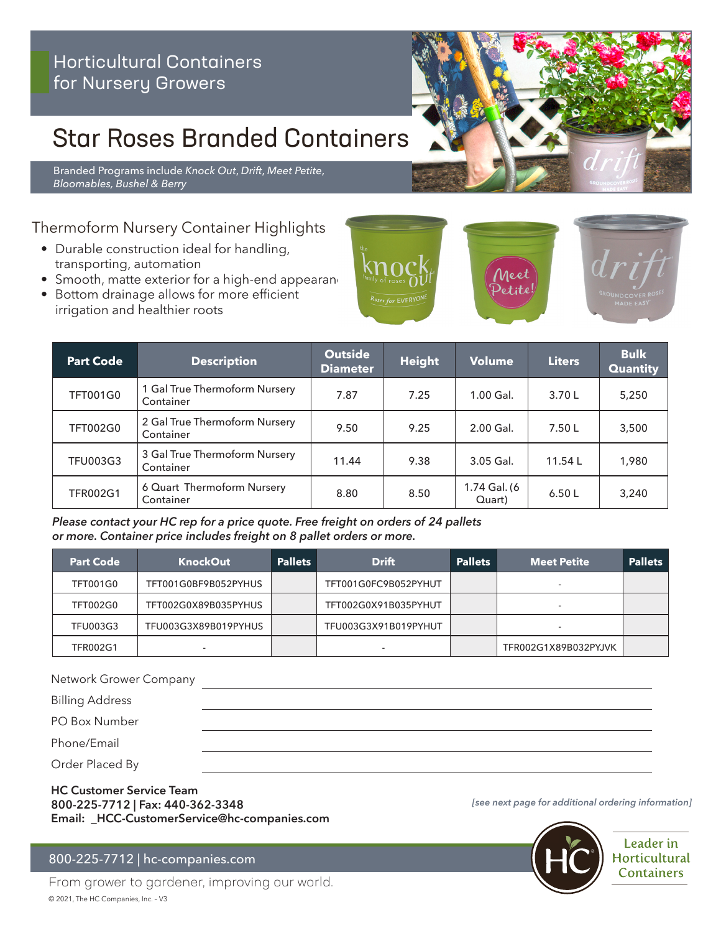# Star Roses Branded Containers

Branded Programs include *Knock Out*, *Drift*, *Meet Petite*, *Bloomables, Bushel & Berry*

## Thermoform Nursery Container Highlights

- Durable construction ideal for handling, transporting, automation
- $\bullet$  Smooth, matte exterior for a high-end appearand
- Bottom drainage allows for more efficient irrigation and healthier roots



#### *Please contact your HC rep for a price quote. Free freight on orders of 24 pallets or more. Container price includes freight on 8 pallet orders or more.*

| <b>Part Code</b> | <b>KnockOut</b>      | <b>Pallets</b> | <b>Drift</b>         | <b>Pallets</b> | <b>Meet Petite</b>   | <b>Pallets</b> |
|------------------|----------------------|----------------|----------------------|----------------|----------------------|----------------|
| <b>TFT001G0</b>  | TFT001G0BF9B052PYHUS |                | TFT001G0FC9B052PYHUT |                |                      |                |
| <b>TFT002G0</b>  | TFT002G0X89B035PYHUS |                | TFT002G0X91B035PYHUT |                |                      |                |
| <b>TFU003G3</b>  | TFU003G3X89B019PYHUS |                | TFU003G3X91B019PYHUT |                | -                    |                |
| <b>TFR002G1</b>  |                      |                | -                    |                | TFR002G1X89B032PYJVK |                |

Network Grower Company

Billing Address

PO Box Number

Phone/Email

Order Placed By

#### **HC Customer Service Team 800-225-7712 | Fax: 440-362-3348 Email: \_HCC-CustomerService@hc-companies.com**

### 800-225-7712 | hc-companies.com

From grower to gardener, improving our world. © 2021, The HC Companies, Inc. – V3

*[see next page for additional ordering information]*



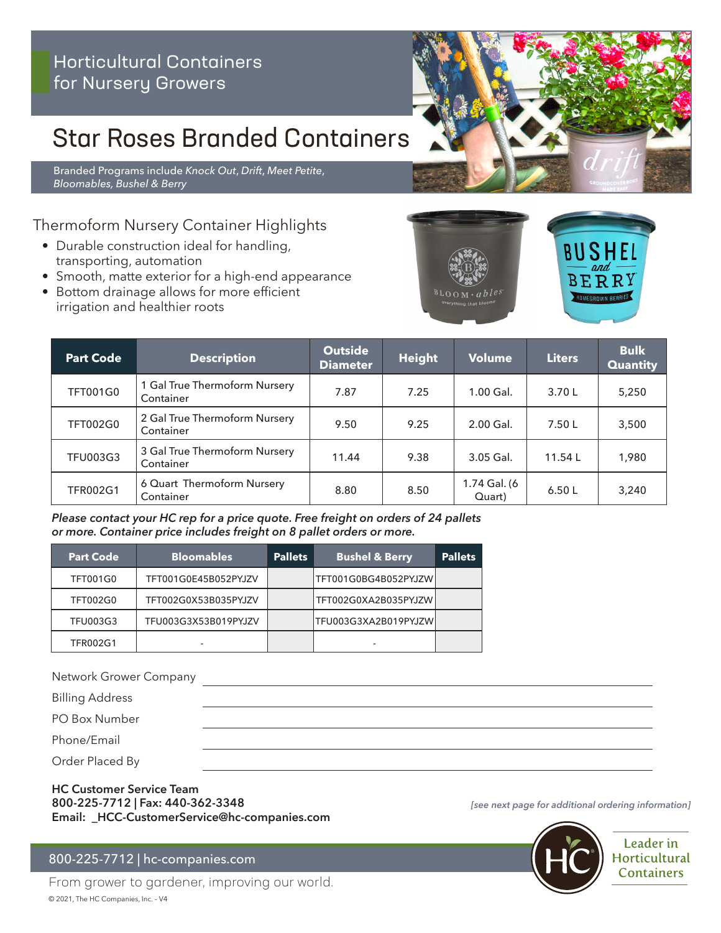# Star Roses Branded Containers

Branded Programs include *Knock Out*, *Drift*, *Meet Petite*, *Bloomables, Bushel & Berry*

## Thermoform Nursery Container Highlights

- Durable construction ideal for handling, transporting, automation
- Smooth, matte exterior for a high-end appearance
- Bottom drainage allows for more efficient irrigation and healthier roots





| <b>Part Code</b> | <b>Description</b>                         | <b>Outside</b><br><b>Diameter</b> | <b>Height</b> | Volume                 | <b>Liters</b> | <b>Bulk</b><br><b>Quantity</b> |
|------------------|--------------------------------------------|-----------------------------------|---------------|------------------------|---------------|--------------------------------|
| <b>TFT001G0</b>  | 1 Gal True Thermoform Nursery<br>Container | 7.87                              | 7.25          | 1.00 Gal.              | 3.70L         | 5,250                          |
| <b>TFT002G0</b>  | 2 Gal True Thermoform Nursery<br>Container | 9.50                              | 9.25          | 2.00 Gal.              | 7.50L         | 3,500                          |
| <b>TFU003G3</b>  | 3 Gal True Thermoform Nursery<br>Container | 11.44                             | 9.38          | 3.05 Gal.              | 11.54L        | 1,980                          |
| <b>TFR002G1</b>  | 6 Quart Thermoform Nursery<br>Container    | 8.80                              | 8.50          | 1.74 Gal. (6<br>Quart) | 6.50L         | 3,240                          |

#### *Please contact your HC rep for a price quote. Free freight on orders of 24 pallets or more. Container price includes freight on 8 pallet orders or more.*

| <b>Part Code</b> | <b>Bloomables</b>    | <b>Pallets</b> | <b>Bushel &amp; Berry</b> | <b>Pallets</b> |
|------------------|----------------------|----------------|---------------------------|----------------|
| <b>TFT001G0</b>  | TFT001G0E45B052PYJZV |                | TFT001G0BG4B052PYJZW      |                |
| <b>TFT002G0</b>  | TFT002G0X53B035PYJZV |                | TFT002G0XA2B035PYJZW      |                |
| <b>TFU003G3</b>  | TFU003G3X53B019PYJZV |                | TFU003G3XA2B019PYJZW      |                |
| <b>TFR002G1</b>  |                      |                |                           |                |

Network Grower Company

Billing Address

PO Box Number

Phone/Email

Order Placed By

**HC Customer Service Team 800-225-7712 | Fax: 440-362-3348 Email: \_HCC-CustomerService@hc-companies.com**

#### 800-225-7712 | hc-companies.com

From grower to gardener, improving our world. © 2021, The HC Companies, Inc. – V4

*[see next page for additional ordering information]*